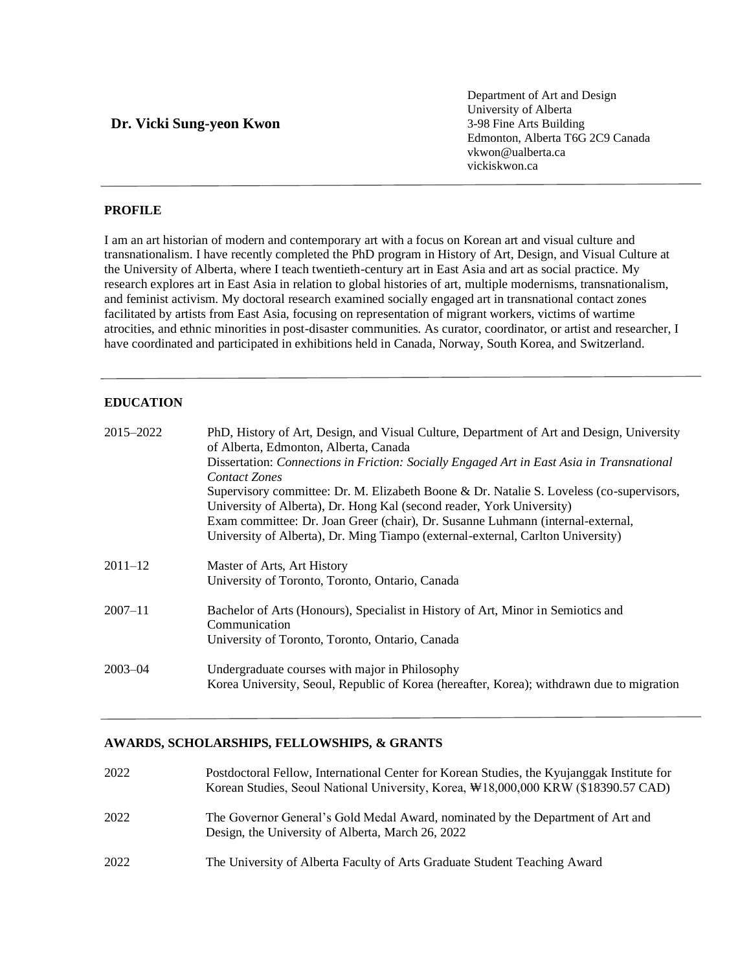# **Dr. Vicki Sung-yeon Kwon**

Department of Art and Design University of Alberta 3-98 Fine Arts Building Edmonton, Alberta T6G 2C9 Canada vkwon@ualberta.ca [vickiskwon.ca](http://vickiskwon.ca/)

# **PROFILE**

I am an art historian of modern and contemporary art with a focus on Korean art and visual culture and transnationalism. I have recently completed the PhD program in History of Art, Design, and Visual Culture at the University of Alberta, where I teach twentieth-century art in East Asia and art as social practice. My research explores art in East Asia in relation to global histories of art, multiple modernisms, transnationalism, and feminist activism. My doctoral research examined socially engaged art in transnational contact zones facilitated by artists from East Asia, focusing on representation of migrant workers, victims of wartime atrocities, and ethnic minorities in post-disaster communities. As curator, coordinator, or artist and researcher, I have coordinated and participated in exhibitions held in Canada, Norway, South Korea, and Switzerland.

## **EDUCATION**

| 2015-2022   | PhD, History of Art, Design, and Visual Culture, Department of Art and Design, University<br>of Alberta, Edmonton, Alberta, Canada |
|-------------|------------------------------------------------------------------------------------------------------------------------------------|
|             | Dissertation: Connections in Friction: Socially Engaged Art in East Asia in Transnational<br><b>Contact Zones</b>                  |
|             | Supervisory committee: Dr. M. Elizabeth Boone & Dr. Natalie S. Loveless (co-supervisors,                                           |
|             | University of Alberta), Dr. Hong Kal (second reader, York University)                                                              |
|             | Exam committee: Dr. Joan Greer (chair), Dr. Susanne Luhmann (internal-external,                                                    |
|             | University of Alberta), Dr. Ming Tiampo (external-external, Carlton University)                                                    |
| $2011 - 12$ | Master of Arts, Art History                                                                                                        |
|             | University of Toronto, Toronto, Ontario, Canada                                                                                    |
| $2007 - 11$ | Bachelor of Arts (Honours), Specialist in History of Art, Minor in Semiotics and<br>Communication                                  |
|             | University of Toronto, Toronto, Ontario, Canada                                                                                    |
| $2003 - 04$ | Undergraduate courses with major in Philosophy                                                                                     |
|             | Korea University, Seoul, Republic of Korea (hereafter, Korea); withdrawn due to migration                                          |

## **AWARDS, SCHOLARSHIPS, FELLOWSHIPS, & GRANTS**

| 2022 | Postdoctoral Fellow, International Center for Korean Studies, the Kyujanggak Institute for<br>Korean Studies, Seoul National University, Korea, \\$18,000,000 KRW (\$18390.57 CAD) |
|------|------------------------------------------------------------------------------------------------------------------------------------------------------------------------------------|
| 2022 | The Governor General's Gold Medal Award, nominated by the Department of Art and<br>Design, the University of Alberta, March 26, 2022                                               |
| 2022 | The University of Alberta Faculty of Arts Graduate Student Teaching Award                                                                                                          |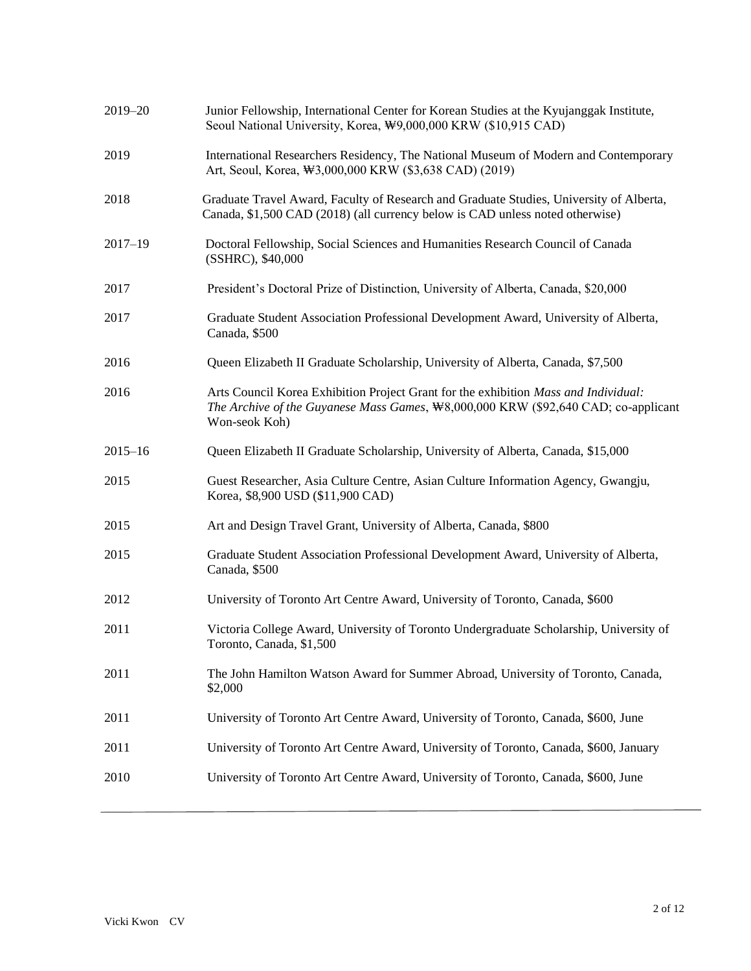| 2019-20     | Junior Fellowship, International Center for Korean Studies at the Kyujanggak Institute,<br>Seoul National University, Korea, \9,000,000 KRW (\$10,915 CAD)                                 |
|-------------|--------------------------------------------------------------------------------------------------------------------------------------------------------------------------------------------|
| 2019        | International Researchers Residency, The National Museum of Modern and Contemporary<br>Art, Seoul, Korea, \\$3,000,000 KRW (\$3,638 CAD) (2019)                                            |
| 2018        | Graduate Travel Award, Faculty of Research and Graduate Studies, University of Alberta,<br>Canada, \$1,500 CAD (2018) (all currency below is CAD unless noted otherwise)                   |
| $2017 - 19$ | Doctoral Fellowship, Social Sciences and Humanities Research Council of Canada<br>(SSHRC), \$40,000                                                                                        |
| 2017        | President's Doctoral Prize of Distinction, University of Alberta, Canada, \$20,000                                                                                                         |
| 2017        | Graduate Student Association Professional Development Award, University of Alberta,<br>Canada, \$500                                                                                       |
| 2016        | Queen Elizabeth II Graduate Scholarship, University of Alberta, Canada, \$7,500                                                                                                            |
| 2016        | Arts Council Korea Exhibition Project Grant for the exhibition Mass and Individual:<br>The Archive of the Guyanese Mass Games, \8,000,000 KRW (\$92,640 CAD; co-applicant<br>Won-seok Koh) |
| $2015 - 16$ | Queen Elizabeth II Graduate Scholarship, University of Alberta, Canada, \$15,000                                                                                                           |
| 2015        | Guest Researcher, Asia Culture Centre, Asian Culture Information Agency, Gwangju,<br>Korea, \$8,900 USD (\$11,900 CAD)                                                                     |
| 2015        | Art and Design Travel Grant, University of Alberta, Canada, \$800                                                                                                                          |
| 2015        | Graduate Student Association Professional Development Award, University of Alberta,<br>Canada, \$500                                                                                       |
| 2012        | University of Toronto Art Centre Award, University of Toronto, Canada, \$600                                                                                                               |
| 2011        | Victoria College Award, University of Toronto Undergraduate Scholarship, University of<br>Toronto, Canada, \$1,500                                                                         |
| 2011        | The John Hamilton Watson Award for Summer Abroad, University of Toronto, Canada,<br>\$2,000                                                                                                |
| 2011        | University of Toronto Art Centre Award, University of Toronto, Canada, \$600, June                                                                                                         |
| 2011        | University of Toronto Art Centre Award, University of Toronto, Canada, \$600, January                                                                                                      |
| 2010        | University of Toronto Art Centre Award, University of Toronto, Canada, \$600, June                                                                                                         |
|             |                                                                                                                                                                                            |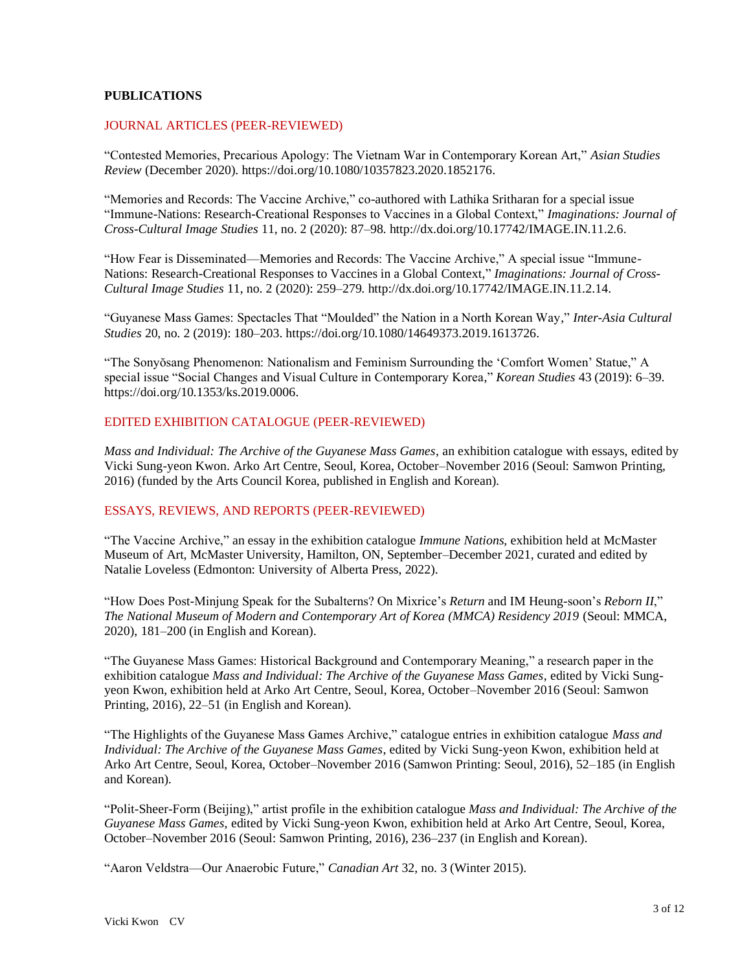## **PUBLICATIONS**

### JOURNAL ARTICLES (PEER-REVIEWED)

"Contested Memories, Precarious Apology: The Vietnam War in Contemporary Korean Art," *Asian Studies Review* (December 2020). [https://doi.org/10.1080/10357823.2020.1852176.](https://doi.org/10.1080/10357823.2020.1852176)

"Memories and Records: The Vaccine Archive," co-authored with Lathika Sritharan for a special issue "Immune-Nations: Research-Creational Responses to Vaccines in a Global Context," *Imaginations: Journal of Cross-Cultural Image Studies* 11, no. 2 (2020): 87–98[. http://dx.doi.org/10.17742/IMAGE.IN.11.2.6.](http://dx.doi.org/10.17742/IMAGE.IN.11.2.6)

"How Fear is Disseminated—Memories and Records: The Vaccine Archive," A special issue "Immune-Nations: Research-Creational Responses to Vaccines in a Global Context," *Imaginations: Journal of Cross-Cultural Image Studies* 11, no. 2 (2020): 259–279. [http://dx.doi.org/10.17742/IMAGE.IN.11.2.14.](http://dx.doi.org/10.17742/IMAGE.IN.11.2.14)

"Guyanese Mass Games: Spectacles That "Moulded" the Nation in a North Korean Way," *Inter-Asia Cultural Studies* 20, no. 2 (2019): 180–203. [https://doi.org/10.1080/14649373.2019.1613726.](https://doi.org/10.1080/14649373.2019.1613726)

"The Sonyŏsang Phenomenon: Nationalism and Feminism Surrounding the 'Comfort Women' Statue," A special issue "Social Changes and Visual Culture in Contemporary Korea," *Korean Studies* 43 (2019): 6–39. https://doi.org/10.1353/ks.2019.0006.

### EDITED EXHIBITION CATALOGUE (PEER-REVIEWED)

*Mass and Individual: The Archive of the Guyanese Mass Games*, an exhibition catalogue with essays, edited by Vicki Sung-yeon Kwon. Arko Art Centre, Seoul, Korea, October–November 2016 (Seoul: Samwon Printing, 2016) (funded by the Arts Council Korea, published in English and Korean).

### ESSAYS, REVIEWS, AND REPORTS (PEER-REVIEWED)

"The Vaccine Archive," an essay in the exhibition catalogue *Immune Nations*, exhibition held at McMaster Museum of Art, McMaster University, Hamilton, ON, September–December 2021, curated and edited by Natalie Loveless (Edmonton: University of Alberta Press, 2022).

"How Does Post-Minjung Speak for the Subalterns? On Mixrice's *Return* and IM Heung-soon's *Reborn II*," *The National Museum of Modern and Contemporary Art of Korea (MMCA) Residency 2019* (Seoul: MMCA, 2020), 181–200 (in English and Korean).

"The Guyanese Mass Games: Historical Background and Contemporary Meaning," a research paper in the exhibition catalogue *Mass and Individual: The Archive of the Guyanese Mass Games*, edited by Vicki Sungyeon Kwon, exhibition held at Arko Art Centre, Seoul, Korea, October–November 2016 (Seoul: Samwon Printing, 2016), 22–51 (in English and Korean).

"The Highlights of the Guyanese Mass Games Archive," catalogue entries in exhibition catalogue *Mass and Individual: The Archive of the Guyanese Mass Games*, edited by Vicki Sung-yeon Kwon, exhibition held at Arko Art Centre, Seoul, Korea, October–November 2016 (Samwon Printing: Seoul, 2016), 52–185 (in English and Korean).

"Polit-Sheer-Form (Beijing)," artist profile in the exhibition catalogue *Mass and Individual: The Archive of the Guyanese Mass Games*, edited by Vicki Sung-yeon Kwon, exhibition held at Arko Art Centre, Seoul, Korea, October–November 2016 (Seoul: Samwon Printing, 2016), 236–237 (in English and Korean).

"Aaron Veldstra—Our Anaerobic Future," *Canadian Art* 32, no. 3 (Winter 2015).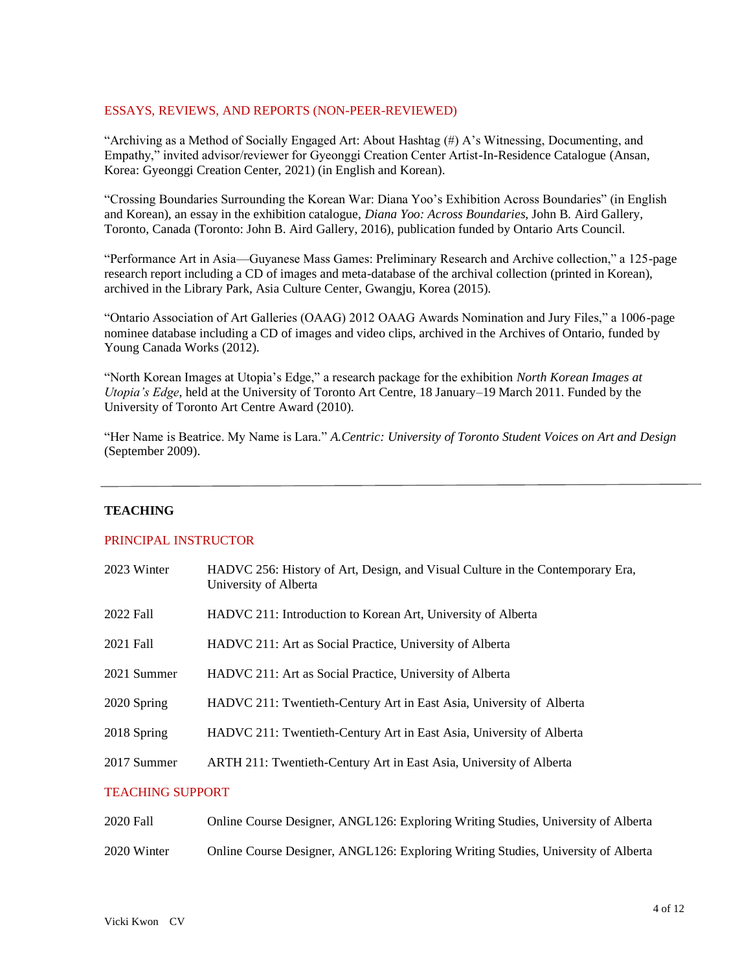## ESSAYS, REVIEWS, AND REPORTS (NON-PEER-REVIEWED)

"Archiving as a Method of Socially Engaged Art: About Hashtag (#) A's Witnessing, Documenting, and Empathy," invited advisor/reviewer for Gyeonggi Creation Center Artist-In-Residence Catalogue (Ansan, Korea: Gyeonggi Creation Center, 2021) (in English and Korean).

"Crossing Boundaries Surrounding the Korean War: Diana Yoo's Exhibition Across Boundaries" (in English and Korean), an essay in the exhibition catalogue, *Diana Yoo: Across Boundaries*, John B. Aird Gallery, Toronto, Canada (Toronto: John B. Aird Gallery, 2016), publication funded by Ontario Arts Council.

"Performance Art in Asia—Guyanese Mass Games: Preliminary Research and Archive collection," a 125-page research report including a CD of images and meta-database of the archival collection (printed in Korean), archived in the Library Park, Asia Culture Center, Gwangju, Korea (2015).

"Ontario Association of Art Galleries (OAAG) 2012 OAAG Awards Nomination and Jury Files," a 1006-page nominee database including a CD of images and video clips, archived in the Archives of Ontario, funded by Young Canada Works (2012).

"North Korean Images at Utopia's Edge," a research package for the exhibition *North Korean Images at Utopia's Edge*, held at the University of Toronto Art Centre, 18 January–19 March 2011. Funded by the University of Toronto Art Centre Award (2010).

"Her Name is Beatrice. My Name is Lara." *A.Centric: University of Toronto Student Voices on Art and Design* (September 2009).

### **TEACHING**

## PRINCIPAL INSTRUCTOR

| 2023 Winter             | HADVC 256: History of Art, Design, and Visual Culture in the Contemporary Era,<br>University of Alberta |  |
|-------------------------|---------------------------------------------------------------------------------------------------------|--|
| 2022 Fall               | HADVC 211: Introduction to Korean Art, University of Alberta                                            |  |
| 2021 Fall               | HADVC 211: Art as Social Practice, University of Alberta                                                |  |
| 2021 Summer             | HADVC 211: Art as Social Practice, University of Alberta                                                |  |
| 2020 Spring             | HADVC 211: Twentieth-Century Art in East Asia, University of Alberta                                    |  |
| 2018 Spring             | HADVC 211: Twentieth-Century Art in East Asia, University of Alberta                                    |  |
| 2017 Summer             | ARTH 211: Twentieth-Century Art in East Asia, University of Alberta                                     |  |
| <b>TEACHING SUPPORT</b> |                                                                                                         |  |
| 2020 Fall               | Online Course Designer, ANGL126: Exploring Writing Studies, University of Alberta                       |  |
|                         |                                                                                                         |  |

2020 Winter Online Course Designer, ANGL126: Exploring Writing Studies, University of Alberta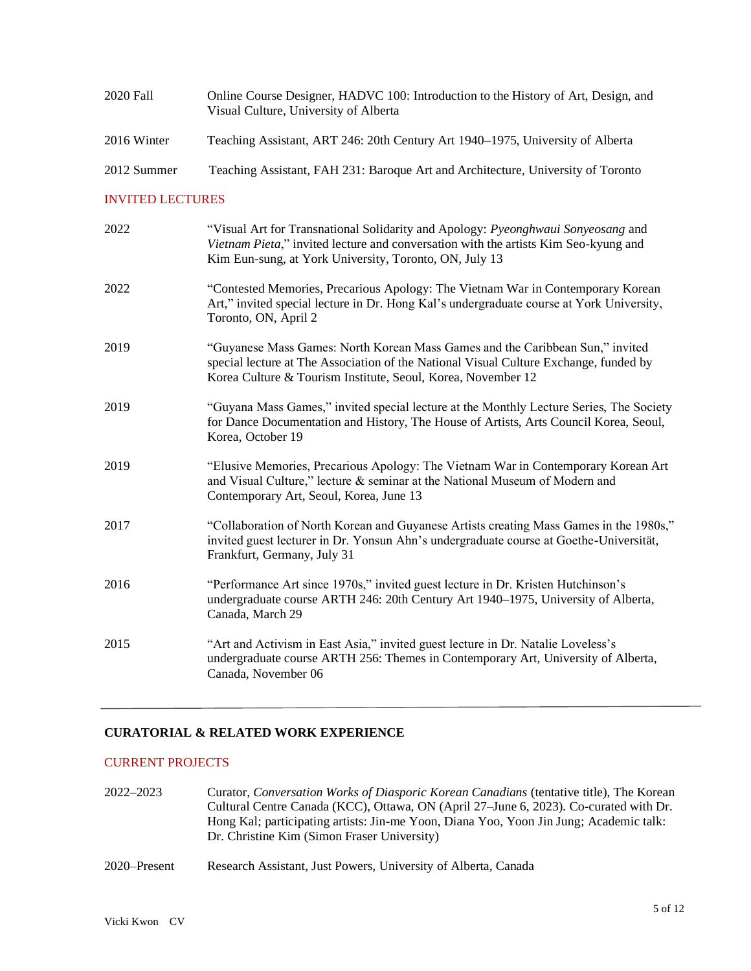| 2020 Fall   | Online Course Designer, HADVC 100: Introduction to the History of Art, Design, and<br>Visual Culture, University of Alberta |
|-------------|-----------------------------------------------------------------------------------------------------------------------------|
| 2016 Winter | Teaching Assistant, ART 246: 20th Century Art 1940–1975, University of Alberta                                              |
| 2012 Summer | Teaching Assistant, FAH 231: Baroque Art and Architecture, University of Toronto                                            |

### INVITED LECTURES

| 2022 | "Visual Art for Transnational Solidarity and Apology: <i>Pyeonghwaui Sonyeosang</i> and<br>Vietnam Pieta," invited lecture and conversation with the artists Kim Seo-kyung and<br>Kim Eun-sung, at York University, Toronto, ON, July 13 |
|------|------------------------------------------------------------------------------------------------------------------------------------------------------------------------------------------------------------------------------------------|
| 2022 | "Contested Memories, Precarious Apology: The Vietnam War in Contemporary Korean<br>Art," invited special lecture in Dr. Hong Kal's undergraduate course at York University,<br>Toronto, ON, April 2                                      |
| 2019 | "Guyanese Mass Games: North Korean Mass Games and the Caribbean Sun," invited<br>special lecture at The Association of the National Visual Culture Exchange, funded by<br>Korea Culture & Tourism Institute, Seoul, Korea, November 12   |
| 2019 | "Guyana Mass Games," invited special lecture at the Monthly Lecture Series, The Society<br>for Dance Documentation and History, The House of Artists, Arts Council Korea, Seoul,<br>Korea, October 19                                    |
| 2019 | "Elusive Memories, Precarious Apology: The Vietnam War in Contemporary Korean Art<br>and Visual Culture," lecture & seminar at the National Museum of Modern and<br>Contemporary Art, Seoul, Korea, June 13                              |
| 2017 | "Collaboration of North Korean and Guyanese Artists creating Mass Games in the 1980s,"<br>invited guest lecturer in Dr. Yonsun Ahn's undergraduate course at Goethe-Universität,<br>Frankfurt, Germany, July 31                          |
| 2016 | "Performance Art since 1970s," invited guest lecture in Dr. Kristen Hutchinson's<br>undergraduate course ARTH 246: 20th Century Art 1940-1975, University of Alberta,<br>Canada, March 29                                                |
| 2015 | "Art and Activism in East Asia," invited guest lecture in Dr. Natalie Loveless's<br>undergraduate course ARTH 256: Themes in Contemporary Art, University of Alberta,<br>Canada, November 06                                             |

# **CURATORIAL & RELATED WORK EXPERIENCE**

# CURRENT PROJECTS

- 2022–2023 Curator, *Conversation Works of Diasporic Korean Canadians* (tentative title), The Korean Cultural Centre Canada (KCC), Ottawa, ON (April 27–June 6, 2023). Co-curated with Dr. Hong Kal; participating artists: Jin-me Yoon, Diana Yoo, Yoon Jin Jung; Academic talk: Dr. Christine Kim (Simon Fraser University)
- 2020–Present Research Assistant, Just Powers, University of Alberta, Canada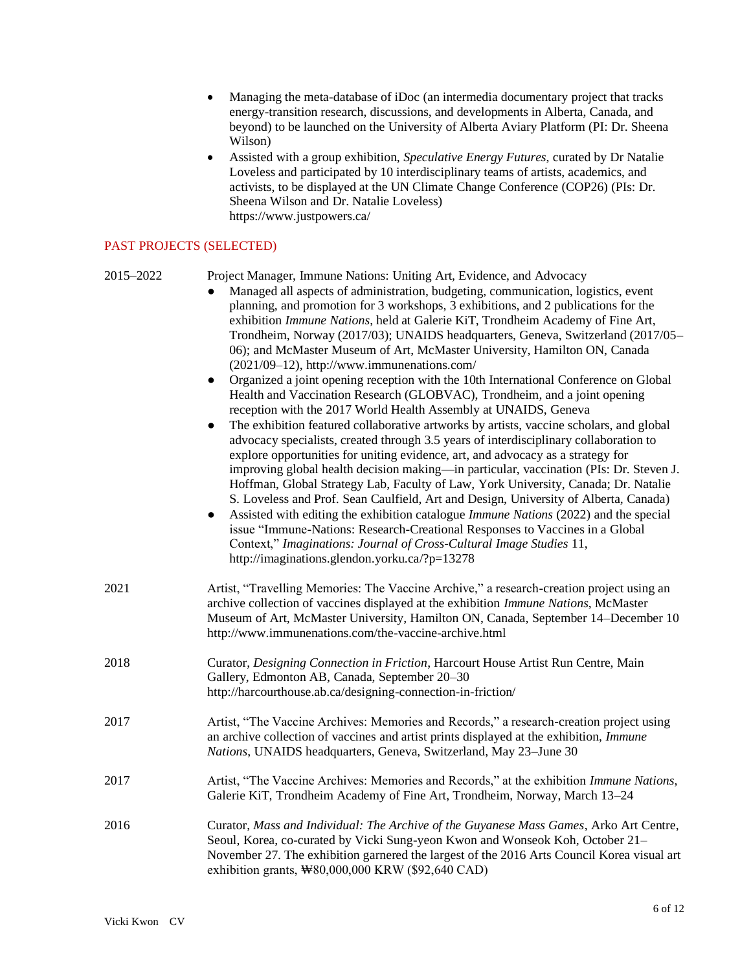- Managing the meta-database of iDoc (an intermedia documentary project that tracks energy-transition research, discussions, and developments in Alberta, Canada, and beyond) to be launched on the University of Alberta Aviary Platform (PI: Dr. Sheena Wilson)
- Assisted with a group exhibition, *Speculative Energy Futures*, curated by Dr Natalie Loveless and participated by 10 interdisciplinary teams of artists, academics, and activists, to be displayed at the UN Climate Change Conference (COP26) (PIs: Dr. Sheena Wilson and Dr. Natalie Loveless) https://www.justpowers.ca/

## PAST PROJECTS (SELECTED)

| 2015–2022 | Project Manager, Immune Nations: Uniting Art, Evidence, and Advocacy<br>Managed all aspects of administration, budgeting, communication, logistics, event<br>planning, and promotion for 3 workshops, 3 exhibitions, and 2 publications for the<br>exhibition Immune Nations, held at Galerie KiT, Trondheim Academy of Fine Art,<br>Trondheim, Norway (2017/03); UNAIDS headquarters, Geneva, Switzerland (2017/05–<br>06); and McMaster Museum of Art, McMaster University, Hamilton ON, Canada<br>(2021/09-12), http://www.immunenations.com/<br>Organized a joint opening reception with the 10th International Conference on Global<br>$\bullet$<br>Health and Vaccination Research (GLOBVAC), Trondheim, and a joint opening<br>reception with the 2017 World Health Assembly at UNAIDS, Geneva<br>The exhibition featured collaborative artworks by artists, vaccine scholars, and global<br>$\bullet$<br>advocacy specialists, created through 3.5 years of interdisciplinary collaboration to<br>explore opportunities for uniting evidence, art, and advocacy as a strategy for<br>improving global health decision making—in particular, vaccination (PIs: Dr. Steven J.<br>Hoffman, Global Strategy Lab, Faculty of Law, York University, Canada; Dr. Natalie<br>S. Loveless and Prof. Sean Caulfield, Art and Design, University of Alberta, Canada)<br>Assisted with editing the exhibition catalogue <i>Immune Nations</i> (2022) and the special<br>$\bullet$<br>issue "Immune-Nations: Research-Creational Responses to Vaccines in a Global<br>Context," Imaginations: Journal of Cross-Cultural Image Studies 11,<br>http://imaginations.glendon.yorku.ca/?p=13278 |
|-----------|---------------------------------------------------------------------------------------------------------------------------------------------------------------------------------------------------------------------------------------------------------------------------------------------------------------------------------------------------------------------------------------------------------------------------------------------------------------------------------------------------------------------------------------------------------------------------------------------------------------------------------------------------------------------------------------------------------------------------------------------------------------------------------------------------------------------------------------------------------------------------------------------------------------------------------------------------------------------------------------------------------------------------------------------------------------------------------------------------------------------------------------------------------------------------------------------------------------------------------------------------------------------------------------------------------------------------------------------------------------------------------------------------------------------------------------------------------------------------------------------------------------------------------------------------------------------------------------------------------------------------------------------------------------------------------------|
| 2021      | Artist, "Travelling Memories: The Vaccine Archive," a research-creation project using an<br>archive collection of vaccines displayed at the exhibition Immune Nations, McMaster<br>Museum of Art, McMaster University, Hamilton ON, Canada, September 14–December 10<br>http://www.immunenations.com/the-vaccine-archive.html                                                                                                                                                                                                                                                                                                                                                                                                                                                                                                                                                                                                                                                                                                                                                                                                                                                                                                                                                                                                                                                                                                                                                                                                                                                                                                                                                         |
| 2018      | Curator, Designing Connection in Friction, Harcourt House Artist Run Centre, Main<br>Gallery, Edmonton AB, Canada, September 20-30<br>http://harcourthouse.ab.ca/designing-connection-in-friction/                                                                                                                                                                                                                                                                                                                                                                                                                                                                                                                                                                                                                                                                                                                                                                                                                                                                                                                                                                                                                                                                                                                                                                                                                                                                                                                                                                                                                                                                                    |
| 2017      | Artist, "The Vaccine Archives: Memories and Records," a research-creation project using<br>an archive collection of vaccines and artist prints displayed at the exhibition, Immune<br>Nations, UNAIDS headquarters, Geneva, Switzerland, May 23-June 30                                                                                                                                                                                                                                                                                                                                                                                                                                                                                                                                                                                                                                                                                                                                                                                                                                                                                                                                                                                                                                                                                                                                                                                                                                                                                                                                                                                                                               |
| 2017      | Artist, "The Vaccine Archives: Memories and Records," at the exhibition Immune Nations,<br>Galerie KiT, Trondheim Academy of Fine Art, Trondheim, Norway, March 13-24                                                                                                                                                                                                                                                                                                                                                                                                                                                                                                                                                                                                                                                                                                                                                                                                                                                                                                                                                                                                                                                                                                                                                                                                                                                                                                                                                                                                                                                                                                                 |
| 2016      | Curator, Mass and Individual: The Archive of the Guyanese Mass Games, Arko Art Centre,<br>Seoul, Korea, co-curated by Vicki Sung-yeon Kwon and Wonseok Koh, October 21-<br>November 27. The exhibition garnered the largest of the 2016 Arts Council Korea visual art<br>exhibition grants, \80,000,000 KRW (\$92,640 CAD)                                                                                                                                                                                                                                                                                                                                                                                                                                                                                                                                                                                                                                                                                                                                                                                                                                                                                                                                                                                                                                                                                                                                                                                                                                                                                                                                                            |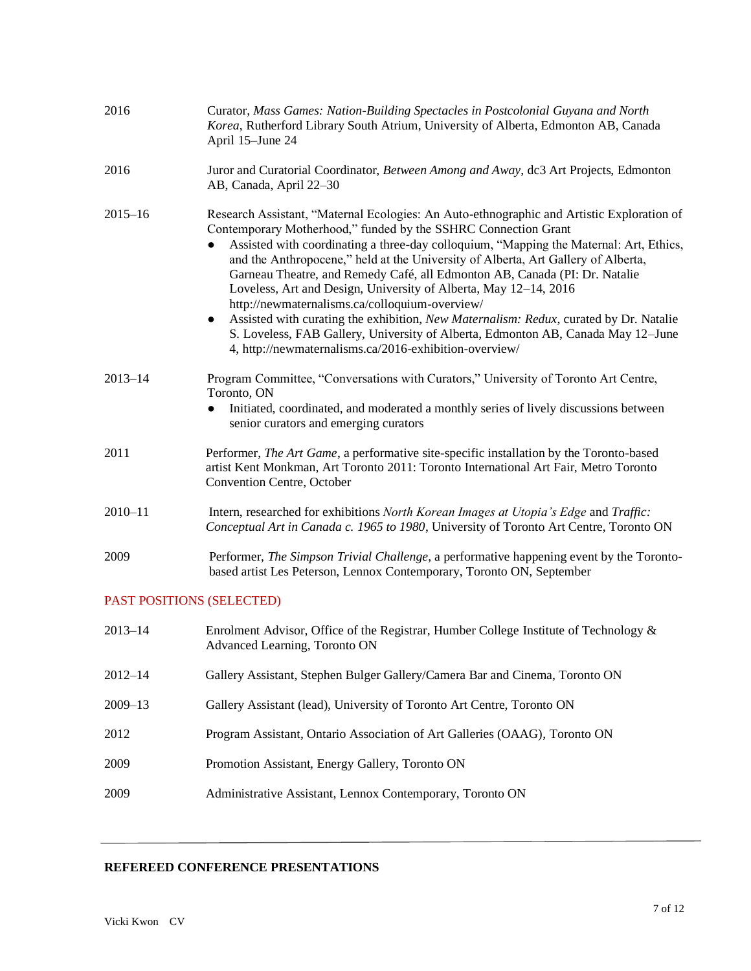| 2016                      | Curator, Mass Games: Nation-Building Spectacles in Postcolonial Guyana and North<br>Korea, Rutherford Library South Atrium, University of Alberta, Edmonton AB, Canada<br>April 15-June 24                                                                                                                                                                                                                                                                                                                                                                                                                                                                                                                                                                                                         |
|---------------------------|----------------------------------------------------------------------------------------------------------------------------------------------------------------------------------------------------------------------------------------------------------------------------------------------------------------------------------------------------------------------------------------------------------------------------------------------------------------------------------------------------------------------------------------------------------------------------------------------------------------------------------------------------------------------------------------------------------------------------------------------------------------------------------------------------|
| 2016                      | Juror and Curatorial Coordinator, Between Among and Away, dc3 Art Projects, Edmonton<br>AB, Canada, April 22-30                                                                                                                                                                                                                                                                                                                                                                                                                                                                                                                                                                                                                                                                                    |
| $2015 - 16$               | Research Assistant, "Maternal Ecologies: An Auto-ethnographic and Artistic Exploration of<br>Contemporary Motherhood," funded by the SSHRC Connection Grant<br>Assisted with coordinating a three-day colloquium, "Mapping the Maternal: Art, Ethics,<br>and the Anthropocene," held at the University of Alberta, Art Gallery of Alberta,<br>Garneau Theatre, and Remedy Café, all Edmonton AB, Canada (PI: Dr. Natalie<br>Loveless, Art and Design, University of Alberta, May 12–14, 2016<br>http://newmaternalisms.ca/colloquium-overview/<br>Assisted with curating the exhibition, New Maternalism: Redux, curated by Dr. Natalie<br>$\bullet$<br>S. Loveless, FAB Gallery, University of Alberta, Edmonton AB, Canada May 12-June<br>4, http://newmaternalisms.ca/2016-exhibition-overview/ |
| $2013 - 14$               | Program Committee, "Conversations with Curators," University of Toronto Art Centre,<br>Toronto, ON<br>Initiated, coordinated, and moderated a monthly series of lively discussions between<br>$\bullet$<br>senior curators and emerging curators                                                                                                                                                                                                                                                                                                                                                                                                                                                                                                                                                   |
| 2011                      | Performer, The Art Game, a performative site-specific installation by the Toronto-based<br>artist Kent Monkman, Art Toronto 2011: Toronto International Art Fair, Metro Toronto<br>Convention Centre, October                                                                                                                                                                                                                                                                                                                                                                                                                                                                                                                                                                                      |
| $2010 - 11$               | Intern, researched for exhibitions North Korean Images at Utopia's Edge and Traffic:<br>Conceptual Art in Canada c. 1965 to 1980, University of Toronto Art Centre, Toronto ON                                                                                                                                                                                                                                                                                                                                                                                                                                                                                                                                                                                                                     |
| 2009                      | Performer, The Simpson Trivial Challenge, a performative happening event by the Toronto-<br>based artist Les Peterson, Lennox Contemporary, Toronto ON, September                                                                                                                                                                                                                                                                                                                                                                                                                                                                                                                                                                                                                                  |
| PAST POSITIONS (SELECTED) |                                                                                                                                                                                                                                                                                                                                                                                                                                                                                                                                                                                                                                                                                                                                                                                                    |
| $2013 - 14$               | Enrolment Advisor, Office of the Registrar, Humber College Institute of Technology &<br>Advanced Learning, Toronto ON                                                                                                                                                                                                                                                                                                                                                                                                                                                                                                                                                                                                                                                                              |

- 2012–14 Gallery Assistant, Stephen Bulger Gallery/Camera Bar and Cinema, Toronto ON
- 2009–13 Gallery Assistant (lead), University of Toronto Art Centre, Toronto ON
- 2012 Program Assistant, Ontario Association of Art Galleries (OAAG), Toronto ON
- 2009 Promotion Assistant, Energy Gallery, Toronto ON
- 2009 Administrative Assistant, Lennox Contemporary, Toronto ON

# **REFEREED CONFERENCE PRESENTATIONS**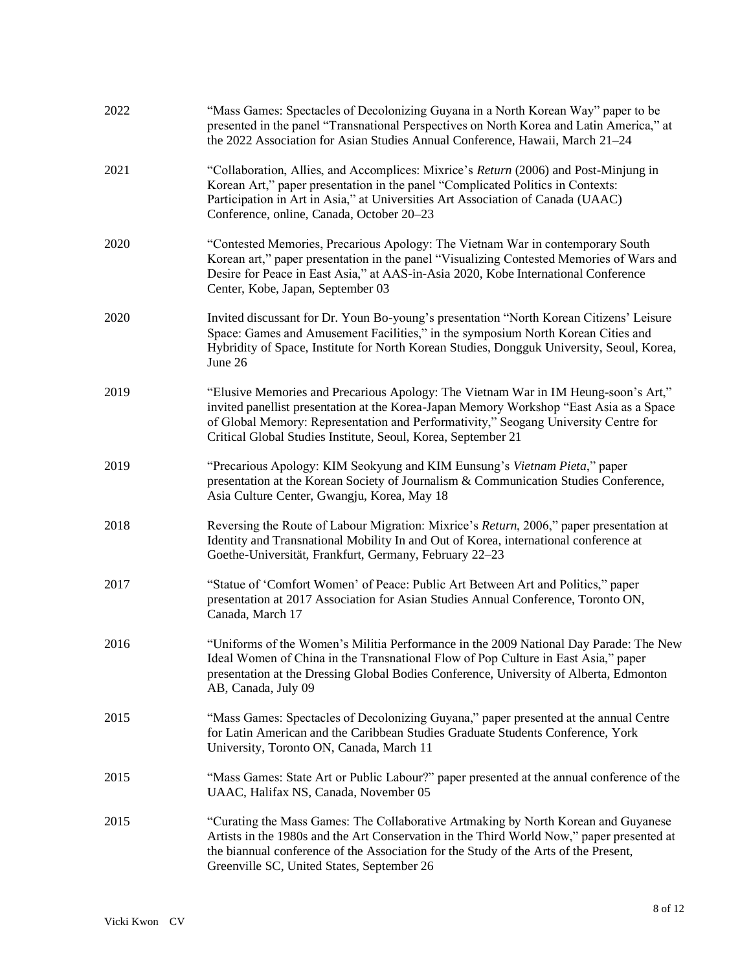| 2022 | "Mass Games: Spectacles of Decolonizing Guyana in a North Korean Way" paper to be<br>presented in the panel "Transnational Perspectives on North Korea and Latin America," at<br>the 2022 Association for Asian Studies Annual Conference, Hawaii, March 21-24                                                                        |
|------|---------------------------------------------------------------------------------------------------------------------------------------------------------------------------------------------------------------------------------------------------------------------------------------------------------------------------------------|
| 2021 | "Collaboration, Allies, and Accomplices: Mixrice's Return (2006) and Post-Minjung in<br>Korean Art," paper presentation in the panel "Complicated Politics in Contexts:<br>Participation in Art in Asia," at Universities Art Association of Canada (UAAC)<br>Conference, online, Canada, October 20-23                               |
| 2020 | "Contested Memories, Precarious Apology: The Vietnam War in contemporary South<br>Korean art," paper presentation in the panel "Visualizing Contested Memories of Wars and<br>Desire for Peace in East Asia," at AAS-in-Asia 2020, Kobe International Conference<br>Center, Kobe, Japan, September 03                                 |
| 2020 | Invited discussant for Dr. Youn Bo-young's presentation "North Korean Citizens' Leisure<br>Space: Games and Amusement Facilities," in the symposium North Korean Cities and<br>Hybridity of Space, Institute for North Korean Studies, Dongguk University, Seoul, Korea,<br>June 26                                                   |
| 2019 | "Elusive Memories and Precarious Apology: The Vietnam War in IM Heung-soon's Art,"<br>invited panellist presentation at the Korea-Japan Memory Workshop "East Asia as a Space<br>of Global Memory: Representation and Performativity," Seogang University Centre for<br>Critical Global Studies Institute, Seoul, Korea, September 21 |
| 2019 | "Precarious Apology: KIM Seokyung and KIM Eunsung's Vietnam Pieta," paper<br>presentation at the Korean Society of Journalism & Communication Studies Conference,<br>Asia Culture Center, Gwangju, Korea, May 18                                                                                                                      |
| 2018 | Reversing the Route of Labour Migration: Mixrice's Return, 2006," paper presentation at<br>Identity and Transnational Mobility In and Out of Korea, international conference at<br>Goethe-Universität, Frankfurt, Germany, February 22-23                                                                                             |
| 2017 | "Statue of 'Comfort Women' of Peace: Public Art Between Art and Politics," paper<br>presentation at 2017 Association for Asian Studies Annual Conference, Toronto ON,<br>Canada, March 17                                                                                                                                             |
| 2016 | "Uniforms of the Women's Militia Performance in the 2009 National Day Parade: The New<br>Ideal Women of China in the Transnational Flow of Pop Culture in East Asia," paper<br>presentation at the Dressing Global Bodies Conference, University of Alberta, Edmonton<br>AB, Canada, July 09                                          |
| 2015 | "Mass Games: Spectacles of Decolonizing Guyana," paper presented at the annual Centre<br>for Latin American and the Caribbean Studies Graduate Students Conference, York<br>University, Toronto ON, Canada, March 11                                                                                                                  |
| 2015 | "Mass Games: State Art or Public Labour?" paper presented at the annual conference of the<br>UAAC, Halifax NS, Canada, November 05                                                                                                                                                                                                    |
| 2015 | "Curating the Mass Games: The Collaborative Artmaking by North Korean and Guyanese<br>Artists in the 1980s and the Art Conservation in the Third World Now," paper presented at<br>the biannual conference of the Association for the Study of the Arts of the Present,<br>Greenville SC, United States, September 26                 |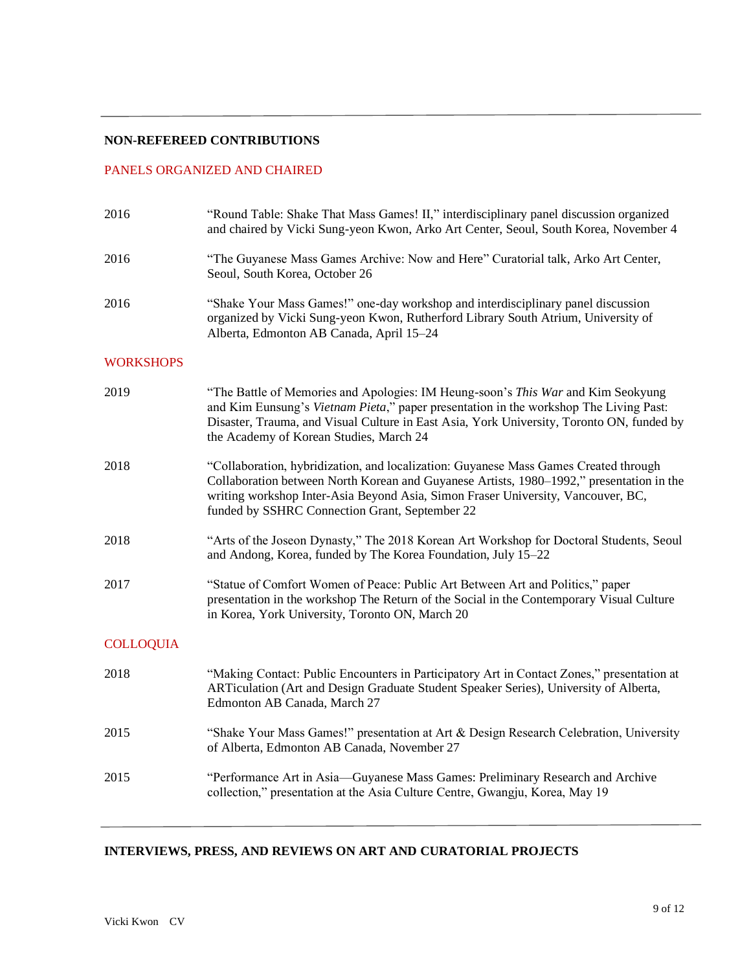### **NON-REFEREED CONTRIBUTIONS**

## PANELS ORGANIZED AND CHAIRED

| 2016             | "Round Table: Shake That Mass Games! II," interdisciplinary panel discussion organized<br>and chaired by Vicki Sung-yeon Kwon, Arko Art Center, Seoul, South Korea, November 4                                                                                                                                         |
|------------------|------------------------------------------------------------------------------------------------------------------------------------------------------------------------------------------------------------------------------------------------------------------------------------------------------------------------|
| 2016             | "The Guyanese Mass Games Archive: Now and Here" Curatorial talk, Arko Art Center,<br>Seoul, South Korea, October 26                                                                                                                                                                                                    |
| 2016             | "Shake Your Mass Games!" one-day workshop and interdisciplinary panel discussion<br>organized by Vicki Sung-yeon Kwon, Rutherford Library South Atrium, University of<br>Alberta, Edmonton AB Canada, April 15-24                                                                                                      |
| <b>WORKSHOPS</b> |                                                                                                                                                                                                                                                                                                                        |
| 2019             | "The Battle of Memories and Apologies: IM Heung-soon's This War and Kim Seokyung<br>and Kim Eunsung's Vietnam Pieta," paper presentation in the workshop The Living Past:<br>Disaster, Trauma, and Visual Culture in East Asia, York University, Toronto ON, funded by<br>the Academy of Korean Studies, March 24      |
| 2018             | "Collaboration, hybridization, and localization: Guyanese Mass Games Created through<br>Collaboration between North Korean and Guyanese Artists, 1980–1992," presentation in the<br>writing workshop Inter-Asia Beyond Asia, Simon Fraser University, Vancouver, BC,<br>funded by SSHRC Connection Grant, September 22 |
| 2018             | "Arts of the Joseon Dynasty," The 2018 Korean Art Workshop for Doctoral Students, Seoul<br>and Andong, Korea, funded by The Korea Foundation, July 15-22                                                                                                                                                               |
| 2017             | "Statue of Comfort Women of Peace: Public Art Between Art and Politics," paper<br>presentation in the workshop The Return of the Social in the Contemporary Visual Culture<br>in Korea, York University, Toronto ON, March 20                                                                                          |
| <b>COLLOQUIA</b> |                                                                                                                                                                                                                                                                                                                        |
| 2018             | "Making Contact: Public Encounters in Participatory Art in Contact Zones," presentation at<br>ARTiculation (Art and Design Graduate Student Speaker Series), University of Alberta,<br>Edmonton AB Canada, March 27                                                                                                    |
| 2015             | "Shake Your Mass Games!" presentation at Art & Design Research Celebration, University<br>of Alberta, Edmonton AB Canada, November 27                                                                                                                                                                                  |
| 2015             | "Performance Art in Asia-Guyanese Mass Games: Preliminary Research and Archive<br>collection," presentation at the Asia Culture Centre, Gwangju, Korea, May 19                                                                                                                                                         |
|                  |                                                                                                                                                                                                                                                                                                                        |

# **INTERVIEWS, PRESS, AND REVIEWS ON ART AND CURATORIAL PROJECTS**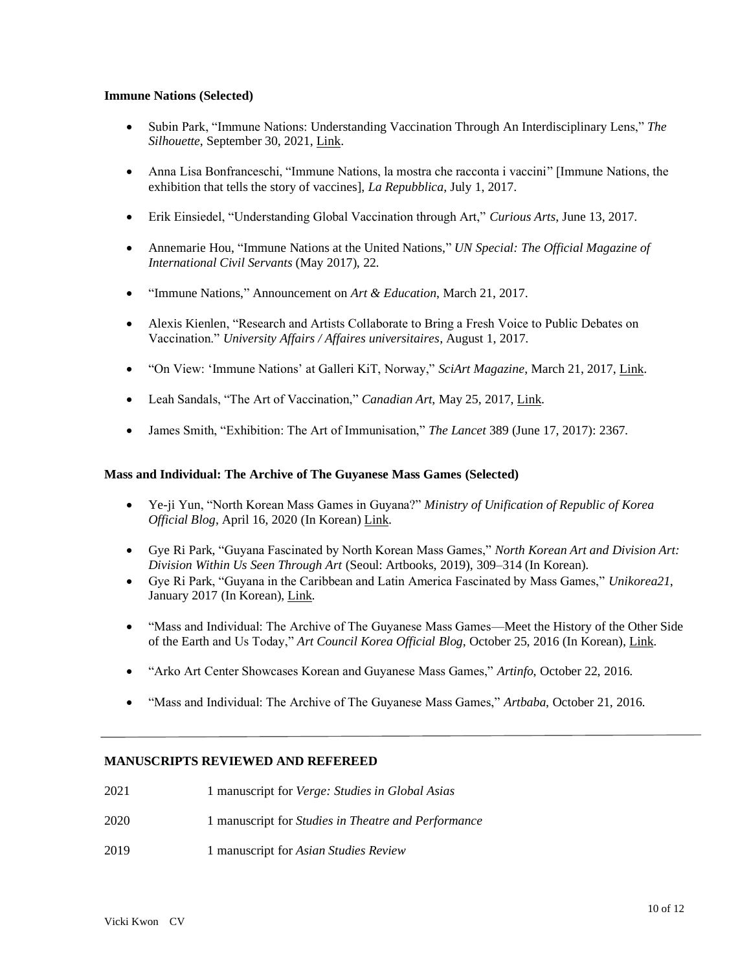### **Immune Nations (Selected)**

- Subin Park, "Immune Nations: Understanding Vaccination Through An Interdisciplinary Lens," *The Silhouette*, September 30, 2021, [Link.](https://www.thesil.ca/immune-nations-understanding-vaccination-through-an-interdisciplinary-lens)
- Anna Lisa Bonfranceschi, "Immune Nations, la mostra che racconta i vaccini" [Immune Nations, the exhibition that tells the story of vaccines], *La Repubblica*, July 1, 2017.
- Erik Einsiedel, "Understanding Global Vaccination through Art," *Curious Arts*, June 13, 2017.
- Annemarie Hou, "Immune Nations at the United Nations," *UN Special: The Official Magazine of International Civil Servants* (May 2017), 22.
- "Immune Nations," Announcement on *Art & Education*, March 21, 2017.
- Alexis Kienlen, "Research and Artists Collaborate to Bring a Fresh Voice to Public Debates on Vaccination." *University Affairs / Affaires universitaires*, August 1, 2017.
- "On View: 'Immune Nations' at Galleri KiT, Norway," *SciArt Magazine*, March 21, 2017, [Link.](https://www.sciartmagazine.com/blog/on-view-immune-nations-at-galleri-kit-norway)
- Leah Sandals, "The Art of Vaccination," *Canadian Art*, May 25, 2017[, Link.](http://canadianart.ca/features/the-art-of-vaccination/)
- James Smith, "Exhibition: The Art of Immunisation," *The Lancet* 389 (June 17, 2017): 2367.

#### **Mass and Individual: The Archive of The Guyanese Mass Games (Selected)**

- Ye-ji Yun, "North Korean Mass Games in Guyana?" *Ministry of Unification of Republic of Korea Official Blog*, April 16, 2020 (In Korean) [Link.](https://m.blog.naver.com/PostView.naver?isHttpsRedirect=true&blogId=gounikorea&logNo=221910970452)
- Gye Ri Park, "Guyana Fascinated by North Korean Mass Games," *North Korean Art and Division Art: Division Within Us Seen Through Art* (Seoul: Artbooks, 2019), 309–314 (In Korean).
- Gye Ri Park, "Guyana in the Caribbean and Latin America Fascinated by Mass Games," *Unikorea21*, January 2017 (In Korean), [Link.](http://unikorea21.com/?p=13279)
- "Mass and Individual: The Archive of The Guyanese Mass Games—Meet the History of the Other Side of the Earth and Us Today," *Art Council Korea Official Blog*, October 25, 2016 (In Korean), [Link.](https://m.blog.naver.com/PostView.naver?isHttpsRedirect=true&blogId=jump_arko&logNo=220844855508)
- "Arko Art Center Showcases Korean and Guyanese Mass Games," *Artinfo*, October 22, 2016.
- "Mass and Individual: The Archive of The Guyanese Mass Games," *Artbaba*, October 21, 2016.

### **MANUSCRIPTS REVIEWED AND REFEREED**

- 2021 1 manuscript for *Verge: Studies in Global Asias*
- 2020 1 manuscript for *Studies in Theatre and Performance*
- 2019 1 manuscript for *Asian Studies Review*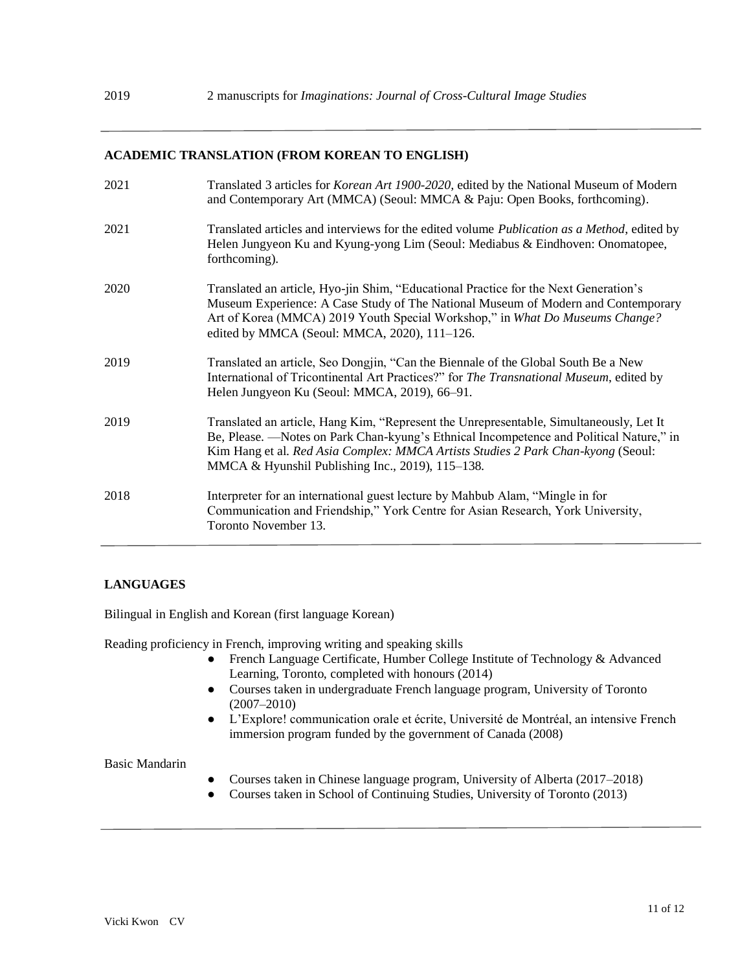## **ACADEMIC TRANSLATION (FROM KOREAN TO ENGLISH)**

| 2021 | Translated 3 articles for Korean Art 1900-2020, edited by the National Museum of Modern<br>and Contemporary Art (MMCA) (Seoul: MMCA & Paju: Open Books, forthcoming).                                                                                                                                                      |
|------|----------------------------------------------------------------------------------------------------------------------------------------------------------------------------------------------------------------------------------------------------------------------------------------------------------------------------|
| 2021 | Translated articles and interviews for the edited volume Publication as a Method, edited by<br>Helen Jungyeon Ku and Kyung-yong Lim (Seoul: Mediabus & Eindhoven: Onomatopee,<br>forthcoming).                                                                                                                             |
| 2020 | Translated an article, Hyo-jin Shim, "Educational Practice for the Next Generation's<br>Museum Experience: A Case Study of The National Museum of Modern and Contemporary<br>Art of Korea (MMCA) 2019 Youth Special Workshop," in What Do Museums Change?<br>edited by MMCA (Seoul: MMCA, 2020), 111-126.                  |
| 2019 | Translated an article, Seo Dongjin, "Can the Biennale of the Global South Be a New<br>International of Tricontinental Art Practices?" for The Transnational Museum, edited by<br>Helen Jungyeon Ku (Seoul: MMCA, 2019), 66–91.                                                                                             |
| 2019 | Translated an article, Hang Kim, "Represent the Unrepresentable, Simultaneously, Let It<br>Be, Please. —Notes on Park Chan-kyung's Ethnical Incompetence and Political Nature," in<br>Kim Hang et al. Red Asia Complex: MMCA Artists Studies 2 Park Chan-kyong (Seoul:<br>MMCA & Hyunshil Publishing Inc., 2019), 115–138. |
| 2018 | Interpreter for an international guest lecture by Mahbub Alam, "Mingle in for<br>Communication and Friendship," York Centre for Asian Research, York University,<br>Toronto November 13.                                                                                                                                   |

# **LANGUAGES**

Bilingual in English and Korean (first language Korean)

Reading proficiency in French, improving writing and speaking skills

- French Language Certificate, Humber College Institute of Technology & Advanced Learning, Toronto, completed with honours (2014)
- Courses taken in undergraduate French language program, University of Toronto (2007–2010)
- L'Explore! communication orale et écrite, Université de Montréal, an intensive French immersion program funded by the government of Canada (2008)

# Basic Mandarin

- Courses taken in Chinese language program, University of Alberta (2017–2018)
- Courses taken in School of Continuing Studies, University of Toronto (2013)